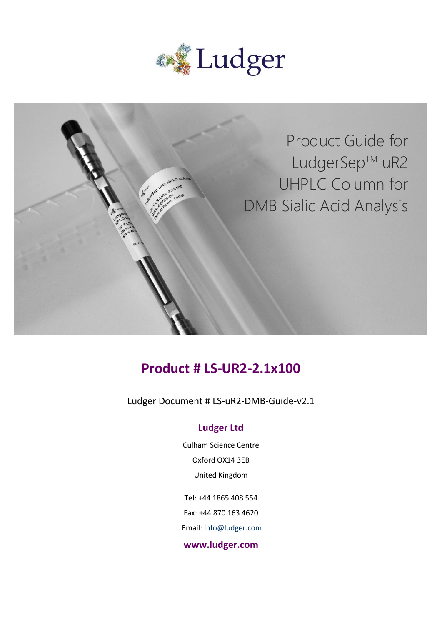



# **Product # LS-UR2-2.1x100**

Ludger Document # LS-uR2-DMB-Guide-v2.1

#### **Ludger Ltd**

Culham Science Centre Oxford OX14 3EB United Kingdom

Tel: +44 1865 408 554 Fax: +44 870 163 4620 Email: info@ludger.com

#### **www.ludger.com**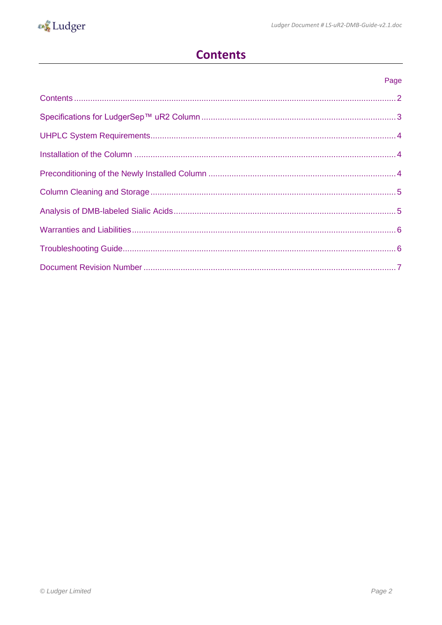## **Contents**

<span id="page-1-0"></span>

| Page |
|------|
|      |
|      |
|      |
|      |
|      |
|      |
|      |
|      |
|      |
|      |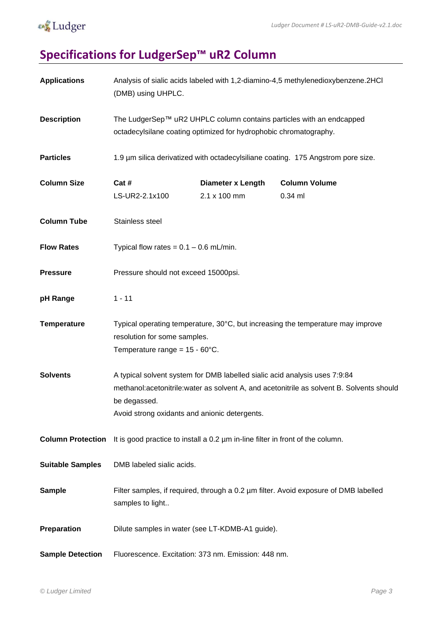

# <span id="page-2-0"></span>**Specifications for LudgerSep™ uR2 Column**

| <b>Applications</b>      | Analysis of sialic acids labeled with 1,2-diamino-4,5 methylenedioxybenzene.2HCl<br>(DMB) using UHPLC.                                      |                                          |                                                                                          |  |  |
|--------------------------|---------------------------------------------------------------------------------------------------------------------------------------------|------------------------------------------|------------------------------------------------------------------------------------------|--|--|
| <b>Description</b>       | The LudgerSep™ uR2 UHPLC column contains particles with an endcapped<br>octadecylsilane coating optimized for hydrophobic chromatography.   |                                          |                                                                                          |  |  |
| <b>Particles</b>         | 1.9 µm silica derivatized with octadecylsiliane coating. 175 Angstrom pore size.                                                            |                                          |                                                                                          |  |  |
| <b>Column Size</b>       | Cat #<br>LS-UR2-2.1x100                                                                                                                     | <b>Diameter x Length</b><br>2.1 x 100 mm | <b>Column Volume</b><br>$0.34$ ml                                                        |  |  |
| <b>Column Tube</b>       | Stainless steel                                                                                                                             |                                          |                                                                                          |  |  |
| <b>Flow Rates</b>        | Typical flow rates = $0.1 - 0.6$ mL/min.                                                                                                    |                                          |                                                                                          |  |  |
| <b>Pressure</b>          | Pressure should not exceed 15000psi.                                                                                                        |                                          |                                                                                          |  |  |
| pH Range                 | $1 - 11$                                                                                                                                    |                                          |                                                                                          |  |  |
| <b>Temperature</b>       | resolution for some samples.<br>Temperature range = $15 - 60^{\circ}$ C.                                                                    |                                          | Typical operating temperature, 30°C, but increasing the temperature may improve          |  |  |
| <b>Solvents</b>          | A typical solvent system for DMB labelled sialic acid analysis uses 7:9:84<br>be degassed.<br>Avoid strong oxidants and anionic detergents. |                                          | methanol:acetonitrile:water as solvent A, and acetonitrile as solvent B. Solvents should |  |  |
| <b>Column Protection</b> | It is good practice to install a 0.2 um in-line filter in front of the column.                                                              |                                          |                                                                                          |  |  |
| <b>Suitable Samples</b>  | DMB labeled sialic acids.                                                                                                                   |                                          |                                                                                          |  |  |
| <b>Sample</b>            | samples to light                                                                                                                            |                                          | Filter samples, if required, through a 0.2 µm filter. Avoid exposure of DMB labelled     |  |  |
| Preparation              | Dilute samples in water (see LT-KDMB-A1 guide).                                                                                             |                                          |                                                                                          |  |  |
| <b>Sample Detection</b>  | Fluorescence. Excitation: 373 nm. Emission: 448 nm.                                                                                         |                                          |                                                                                          |  |  |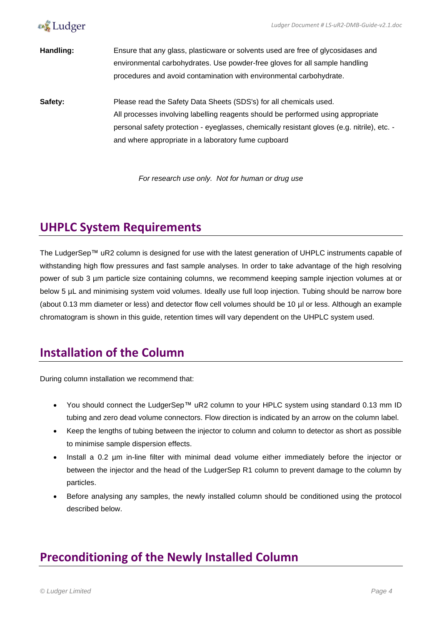



**Handling:** Ensure that any glass, plasticware or solvents used are free of glycosidases and environmental carbohydrates. Use powder-free gloves for all sample handling procedures and avoid contamination with environmental carbohydrate.

**Safety:** Please read the Safety Data Sheets (SDS's) for all chemicals used. All processes involving labelling reagents should be performed using appropriate personal safety protection - eyeglasses, chemically resistant gloves (e.g. nitrile), etc. and where appropriate in a laboratory fume cupboard

*For research use only. Not for human or drug use*

### <span id="page-3-0"></span>**UHPLC System Requirements**

The LudgerSep™ uR2 column is designed for use with the latest generation of UHPLC instruments capable of withstanding high flow pressures and fast sample analyses. In order to take advantage of the high resolving power of sub 3 µm particle size containing columns, we recommend keeping sample injection volumes at or below 5 µL and minimising system void volumes. Ideally use full loop injection. Tubing should be narrow bore (about 0.13 mm diameter or less) and detector flow cell volumes should be 10 µl or less. Although an example chromatogram is shown in this guide, retention times will vary dependent on the UHPLC system used.

#### <span id="page-3-1"></span>**Installation of the Column**

During column installation we recommend that:

- You should connect the LudgerSep™ uR2 column to your HPLC system using standard 0.13 mm ID tubing and zero dead volume connectors. Flow direction is indicated by an arrow on the column label.
- Keep the lengths of tubing between the injector to column and column to detector as short as possible to minimise sample dispersion effects.
- Install a 0.2 µm in-line filter with minimal dead volume either immediately before the injector or between the injector and the head of the LudgerSep R1 column to prevent damage to the column by particles.
- Before analysing any samples, the newly installed column should be conditioned using the protocol described below.

### <span id="page-3-2"></span>**Preconditioning of the Newly Installed Column**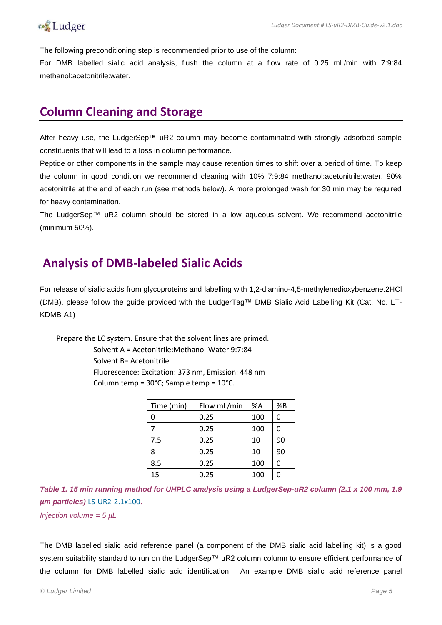The following preconditioning step is recommended prior to use of the column:

For DMB labelled sialic acid analysis, flush the column at a flow rate of 0.25 mL/min with 7:9:84 methanol:acetonitrile:water.

### <span id="page-4-0"></span>**Column Cleaning and Storage**

After heavy use, the LudgerSep™ uR2 column may become contaminated with strongly adsorbed sample constituents that will lead to a loss in column performance.

Peptide or other components in the sample may cause retention times to shift over a period of time. To keep the column in good condition we recommend cleaning with 10% 7:9:84 methanol:acetonitrile:water, 90% acetonitrile at the end of each run (see methods below). A more prolonged wash for 30 min may be required for heavy contamination.

The LudgerSep™ uR2 column should be stored in a low aqueous solvent. We recommend acetonitrile (minimum 50%).

#### <span id="page-4-1"></span>**Analysis of DMB-labeled Sialic Acids**

For release of sialic acids from glycoproteins and labelling with 1,2-diamino-4,5-methylenedioxybenzene.2HCl (DMB), please follow the guide provided with the LudgerTag™ DMB Sialic Acid Labelling Kit (Cat. No. LT-KDMB-A1)

Prepare the LC system. Ensure that the solvent lines are primed.

Solvent A = Acetonitrile:Methanol:Water 9:7:84 Solvent B= Acetonitrile Fluorescence: Excitation: 373 nm, Emission: 448 nm Column temp = 30°C; Sample temp = 10°C.

| Time (min) | Flow mL/min | %A  | %B |
|------------|-------------|-----|----|
| 0          | 0.25        | 100 | 0  |
|            | 0.25        | 100 | 0  |
| 7.5        | 0.25        | 10  | 90 |
| 8          | 0.25        | 10  | 90 |
| 8.5        | 0.25        | 100 | 0  |
| 15         | 0.25        | 100 | ი  |

*Table 1. 15 min running method for UHPLC analysis using a LudgerSep-uR2 column (2.1 x 100 mm, 1.9 µm particles)* LS-UR2-2.1x100.

*Injection volume = 5 µL.*

The DMB labelled sialic acid reference panel (a component of the DMB sialic acid labelling kit) is a good system suitability standard to run on the LudgerSep™ uR2 column column to ensure efficient performance of the column for DMB labelled sialic acid identification. An example DMB sialic acid reference panel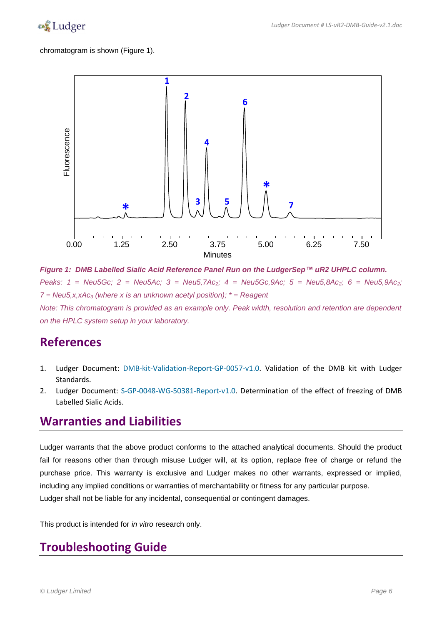

chromatogram is shown (Figure 1).



*Figure 1: DMB Labelled Sialic Acid Reference Panel Run on the LudgerSep™ uR2 UHPLC column. Peaks: 1 = Neu5Gc; 2 = Neu5Ac; 3 = Neu5,7Ac2; 4 = Neu5Gc,9Ac; 5 = Neu5,8Ac2; 6 = Neu5,9Ac2; 7 = Neu5,x,xAc<sup>3</sup> (where x is an unknown acetyl position); \* = Reagent Note: This chromatogram is provided as an example only. Peak width, resolution and retention are dependent on the HPLC system setup in your laboratory.*

#### **References**

- 1. Ludger Document: DMB-kit-Validation-Report-GP-0057-v1.0. Validation of the DMB kit with Ludger Standards.
- 2. Ludger Document: S-GP-0048-WG-50381-Report-v1.0. Determination of the effect of freezing of DMB Labelled Sialic Acids.

#### <span id="page-5-0"></span>**Warranties and Liabilities**

Ludger warrants that the above product conforms to the attached analytical documents. Should the product fail for reasons other than through misuse Ludger will, at its option, replace free of charge or refund the purchase price. This warranty is exclusive and Ludger makes no other warrants, expressed or implied, including any implied conditions or warranties of merchantability or fitness for any particular purpose. Ludger shall not be liable for any incidental, consequential or contingent damages.

This product is intended for *in vitro* research only.

#### <span id="page-5-1"></span>**Troubleshooting Guide**